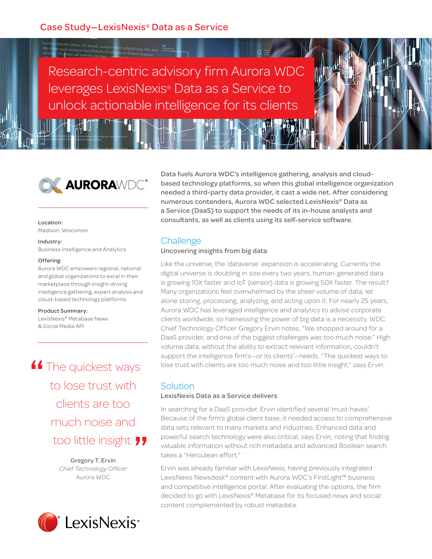Research-centric advisory firm Aurora WDC leverages LexisNexis® Data as a Service to unlock actionable intelligence for its clients



### Location:

Madison, Wisconsin

#### Industry:

Business Intelligence and Analytics

### Offering:

Aurora WDC empowers regional, national and global organizations to excel in their marketplace through insight-driving intelligence gathering, expert analysis and cloud-based technology platforms.

#### Product Summary:

LexisNexis® Metabase News & Social Media API

**4 The quickest ways<br>to lose trust with** to lose trust with clients are too much noise and **The insight.**<br> **Shirf Technology Officer**<br>
Chief Technology Officer

Gregory T. Ervin *Chief Technology Officer* Aurora WDC



Data fuels Aurora WDC's intelligence gathering, analysis and cloudbased technology platforms, so when this global intelligence organization needed a third-party data provider, it cast a wide net. After considering numerous contenders, Aurora WDC selected LexisNexis® Data as a Service (DaaS) to support the needs of its in-house analysts and consultants, as well as clients using its self-service software.

## **Challenge**

### Uncovering insights from big data

Like the universe, the 'dataverse' expansion is accelerating. Currently the digital universe is doubling in size every two years, human-generated data is growing 10X faster and IoT (sensor) data is growing 50X faster. The result? Many organizations feel overwhelmed by the sheer volume of data, let alone storing, processing, analyzing, and acting upon it. For nearly 25 years, Aurora WDC has leveraged intelligence and analytics to advise corporate clients worldwide, so harnessing the power of big data is a necessity. WDC Chief Technology Officer Gregory Ervin notes, "We shopped around for a DaaS provider, and one of the biggest challenges was too much noise." High volume data, without the ability to extract relevant information, couldn't support the intelligence firm's—or its clients'—needs. "The quickest ways to lose trust with clients are too much noise and too little insight," says Ervin.

## Solution

### LexisNexis Data as a Service delivers

In searching for a DaaS provider, Ervin identified several 'must-haves'. Because of the firm's global client base, it needed access to comprehensive data sets relevant to many markets and industries. Enhanced data and powerful search technology were also critical, says Ervin, noting that finding valuable information without rich metadata and advanced Boolean search takes a "Herculean effort."

Ervin was already familiar with LexisNexis, having previously integrated LexisNexis Newsdesk® content with Aurora WDC's FirstLight™ business and competitive intelligence portal. After evaluating the options, the firm decided to go with LexisNexis® Metabase for its focused news and social content complemented by robust metadata.